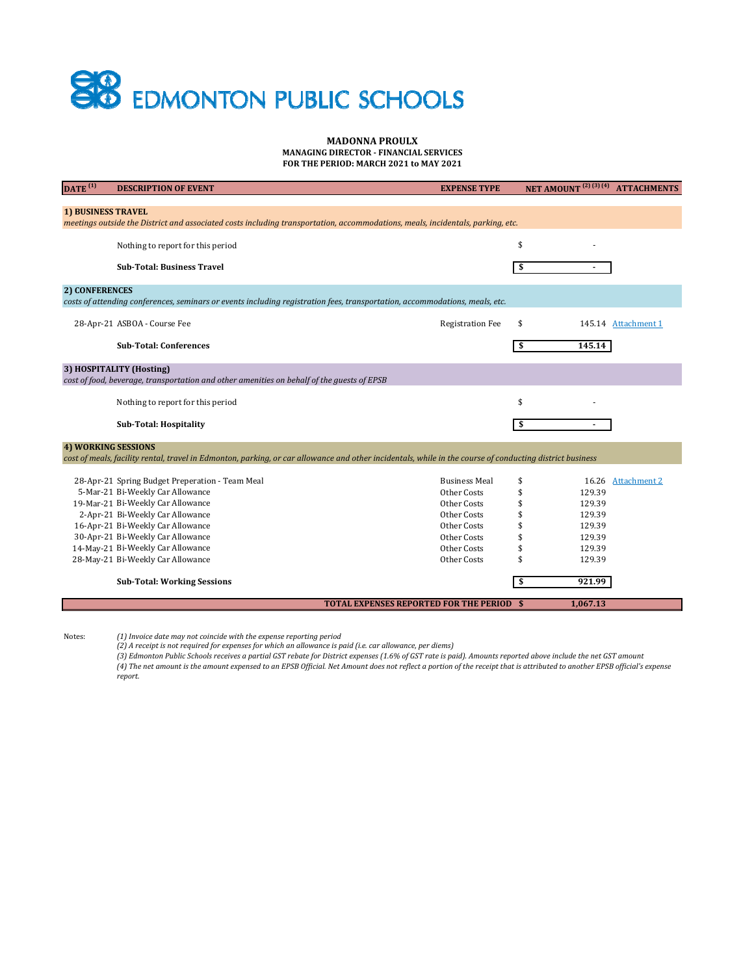# **SHO** EDMONTON PUBLIC SCHOOLS

#### **MADONNA PROULX MANAGING DIRECTOR ‐ FINANCIAL SERVICES FOR THE PERIOD: MARCH 2021 to MAY 2021**

| $\overline{\text{DATE}}^{(1)}$                                                                                                                              | <b>DESCRIPTION OF EVENT</b>                                                                                                                              | <b>EXPENSE TYPE</b>     | <b>NET AMOUNT</b> <sup>(2)(3)(4)</sup> | <b>ATTACHMENTS</b>  |  |
|-------------------------------------------------------------------------------------------------------------------------------------------------------------|----------------------------------------------------------------------------------------------------------------------------------------------------------|-------------------------|----------------------------------------|---------------------|--|
|                                                                                                                                                             |                                                                                                                                                          |                         |                                        |                     |  |
| <b>1) BUSINESS TRAVEL</b><br>meetings outside the District and associated costs including transportation, accommodations, meals, incidentals, parking, etc. |                                                                                                                                                          |                         |                                        |                     |  |
|                                                                                                                                                             |                                                                                                                                                          |                         |                                        |                     |  |
|                                                                                                                                                             | Nothing to report for this period                                                                                                                        |                         | \$                                     |                     |  |
|                                                                                                                                                             | <b>Sub-Total: Business Travel</b>                                                                                                                        |                         | \$                                     |                     |  |
|                                                                                                                                                             |                                                                                                                                                          |                         |                                        |                     |  |
| 2) CONFERENCES                                                                                                                                              |                                                                                                                                                          |                         |                                        |                     |  |
|                                                                                                                                                             | costs of attending conferences, seminars or events including registration fees, transportation, accommodations, meals, etc.                              |                         |                                        |                     |  |
|                                                                                                                                                             | 28-Apr-21 ASBOA - Course Fee                                                                                                                             | <b>Registration Fee</b> | \$                                     | 145.14 Attachment 1 |  |
|                                                                                                                                                             |                                                                                                                                                          |                         |                                        |                     |  |
|                                                                                                                                                             | <b>Sub-Total: Conferences</b>                                                                                                                            |                         | 145.14<br>\$                           |                     |  |
|                                                                                                                                                             | 3) HOSPITALITY (Hosting)                                                                                                                                 |                         |                                        |                     |  |
|                                                                                                                                                             | cost of food, beverage, transportation and other amenities on behalf of the guests of EPSB                                                               |                         |                                        |                     |  |
|                                                                                                                                                             | Nothing to report for this period                                                                                                                        |                         | \$                                     |                     |  |
|                                                                                                                                                             |                                                                                                                                                          |                         |                                        |                     |  |
|                                                                                                                                                             | <b>Sub-Total: Hospitality</b>                                                                                                                            |                         | \$                                     |                     |  |
| <b>4) WORKING SESSIONS</b>                                                                                                                                  |                                                                                                                                                          |                         |                                        |                     |  |
|                                                                                                                                                             | cost of meals, facility rental, travel in Edmonton, parking, or car allowance and other incidentals, while in the course of conducting district business |                         |                                        |                     |  |
|                                                                                                                                                             |                                                                                                                                                          | <b>Business Meal</b>    | \$                                     | 16.26 Attachment 2  |  |
|                                                                                                                                                             | 28-Apr-21 Spring Budget Preperation - Team Meal<br>5-Mar-21 Bi-Weekly Car Allowance                                                                      | Other Costs             | \$<br>129.39                           |                     |  |
|                                                                                                                                                             | 19-Mar-21 Bi-Weekly Car Allowance                                                                                                                        | Other Costs             | \$<br>129.39                           |                     |  |
|                                                                                                                                                             | 2-Apr-21 Bi-Weekly Car Allowance                                                                                                                         | Other Costs             | \$<br>129.39                           |                     |  |
|                                                                                                                                                             | 16-Apr-21 Bi-Weekly Car Allowance                                                                                                                        | Other Costs             | \$<br>129.39                           |                     |  |
|                                                                                                                                                             | 30-Apr-21 Bi-Weekly Car Allowance                                                                                                                        | Other Costs             | \$<br>129.39                           |                     |  |
|                                                                                                                                                             | 14-May-21 Bi-Weekly Car Allowance                                                                                                                        | Other Costs             | 129.39<br>\$                           |                     |  |
|                                                                                                                                                             | 28-May-21 Bi-Weekly Car Allowance                                                                                                                        | Other Costs             | \$<br>129.39                           |                     |  |
|                                                                                                                                                             |                                                                                                                                                          |                         |                                        |                     |  |
|                                                                                                                                                             | <b>Sub-Total: Working Sessions</b>                                                                                                                       |                         | 921.99<br>S                            |                     |  |
|                                                                                                                                                             | <b>TOTAL EXPENSES REPORTED FOR THE PERIOD</b>                                                                                                            |                         | 1,067.13<br>-\$                        |                     |  |
|                                                                                                                                                             |                                                                                                                                                          |                         |                                        |                     |  |

Notes:

(1) Invoice date may not coincide with the expense reporting period<br>(2) A receipt is not required for expenses for which an allowance is paid (i.e. car allowance, per diems)

(3) Edmonton Public Schools receives a partial GST rebate for District expenses (1.6% of GST rate is paid). Amounts reported above include the net GST amount (4) The net amount is the amount expensed to an EPSB Official. Net Amount does not reflect a portion of the receipt that is attributed to another EPSB official's expense *report.*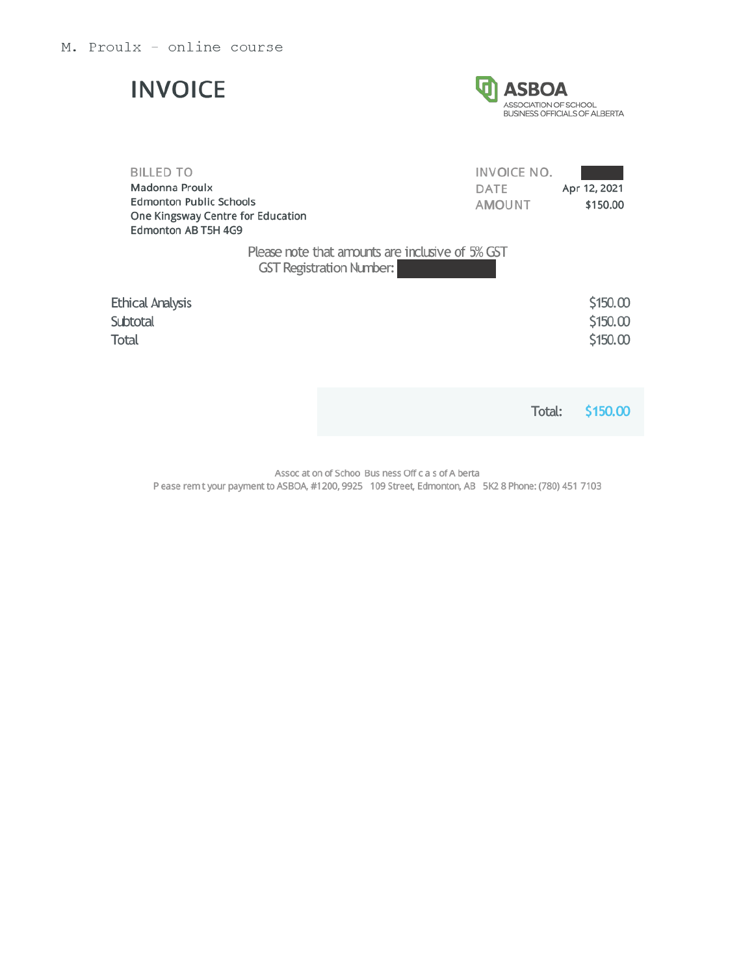## **INVOICE**



| <b>BILLED TO</b>                                                                           | INVOICE NO.                                                                         |              |
|--------------------------------------------------------------------------------------------|-------------------------------------------------------------------------------------|--------------|
| Madonna Proulx                                                                             | DATE                                                                                | Apr 12, 2021 |
| <b>Edmonton Public Schools</b><br>One Kingsway Centre for Education<br>Edmonton AB T5H 4G9 | <b>AMOUNT</b>                                                                       | \$150.00     |
|                                                                                            | Please note that amounts are inclusive of 5% GST<br><b>GST Registration Number:</b> |              |
| <b>Ethical Analysis</b>                                                                    |                                                                                     | \$150.00     |
| Subtotal                                                                                   |                                                                                     | \$150.00     |
| <b>Total</b>                                                                               |                                                                                     | \$150.00     |
|                                                                                            |                                                                                     |              |
|                                                                                            |                                                                                     |              |

\$150.00 Total:

Assoc at on of Schoo Bus ness Off c a s of A berta

P ease rem t your payment to ASBOA, #1200, 9925 109 Street, Edmonton, AB 5K2 8 Phone: (780) 451 7103